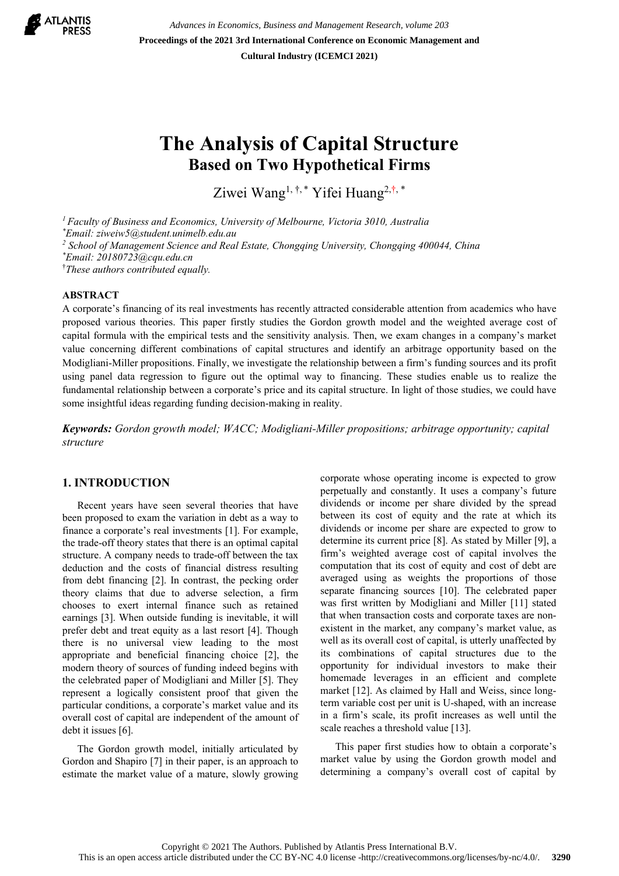

*Advances in Economics, Business and Management Research, volume 203* **Proceedings of the 2021 3rd International Conference on Economic Management and Cultural Industry (ICEMCI 2021)**

# **The Analysis of Capital Structure Based on Two Hypothetical Firms**

Ziwei Wang<sup>1, †,\*</sup> Yifei Huang<sup>2,†,\*</sup>

*1 Faculty of Business and Economics, University of Melbourne, Victoria 3010, Australia* 

*\* Email: ziweiw5@student.unimelb.edu.au* 

*2 School of Management Science and Real Estate, Chongqing University, Chongqing 400044, China*

*\* Email: 20180723@cqu.edu.cn*

† *These authors contributed equally.* 

# **ABSTRACT**

A corporate's financing of its real investments has recently attracted considerable attention from academics who have proposed various theories. This paper firstly studies the Gordon growth model and the weighted average cost of capital formula with the empirical tests and the sensitivity analysis. Then, we exam changes in a company's market value concerning different combinations of capital structures and identify an arbitrage opportunity based on the Modigliani-Miller propositions. Finally, we investigate the relationship between a firm's funding sources and its profit using panel data regression to figure out the optimal way to financing. These studies enable us to realize the fundamental relationship between a corporate's price and its capital structure. In light of those studies, we could have some insightful ideas regarding funding decision-making in reality.

*Keywords: Gordon growth model; WACC; Modigliani-Miller propositions; arbitrage opportunity; capital structure* 

# **1. INTRODUCTION**

Recent years have seen several theories that have been proposed to exam the variation in debt as a way to finance a corporate's real investments [1]. For example, the trade-off theory states that there is an optimal capital structure. A company needs to trade-off between the tax deduction and the costs of financial distress resulting from debt financing [2]. In contrast, the pecking order theory claims that due to adverse selection, a firm chooses to exert internal finance such as retained earnings [3]. When outside funding is inevitable, it will prefer debt and treat equity as a last resort [4]. Though there is no universal view leading to the most appropriate and beneficial financing choice [2], the modern theory of sources of funding indeed begins with the celebrated paper of Modigliani and Miller [5]. They represent a logically consistent proof that given the particular conditions, a corporate's market value and its overall cost of capital are independent of the amount of debt it issues [6].

The Gordon growth model, initially articulated by Gordon and Shapiro [7] in their paper, is an approach to estimate the market value of a mature, slowly growing corporate whose operating income is expected to grow perpetually and constantly. It uses a company's future dividends or income per share divided by the spread between its cost of equity and the rate at which its dividends or income per share are expected to grow to determine its current price [8]. As stated by Miller [9], a firm's weighted average cost of capital involves the computation that its cost of equity and cost of debt are averaged using as weights the proportions of those separate financing sources [10]. The celebrated paper was first written by Modigliani and Miller [11] stated that when transaction costs and corporate taxes are nonexistent in the market, any company's market value, as well as its overall cost of capital, is utterly unaffected by its combinations of capital structures due to the opportunity for individual investors to make their homemade leverages in an efficient and complete market [12]. As claimed by Hall and Weiss, since longterm variable cost per unit is U-shaped, with an increase in a firm's scale, its profit increases as well until the scale reaches a threshold value [13].

This paper first studies how to obtain a corporate's market value by using the Gordon growth model and determining a company's overall cost of capital by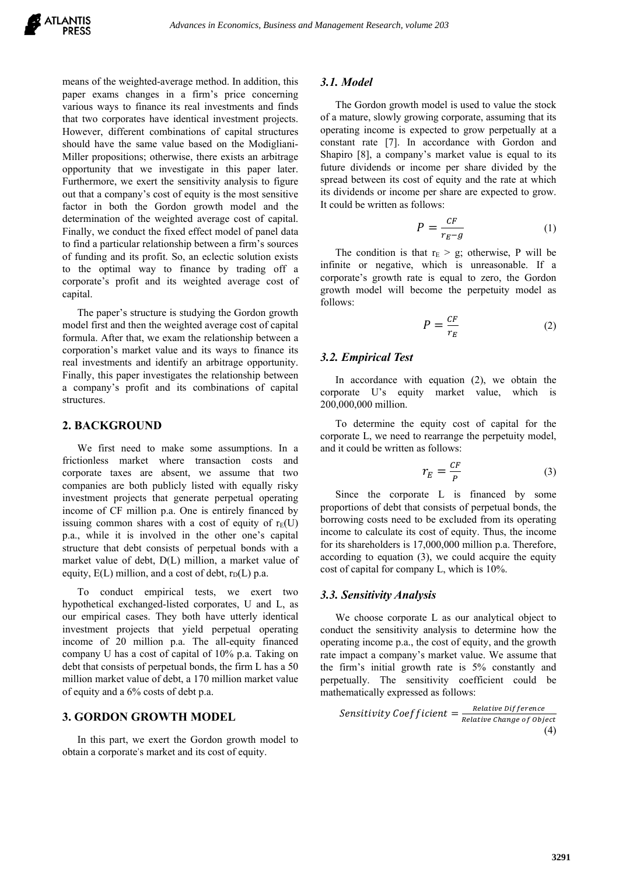means of the weighted-average method. In addition, this paper exams changes in a firm's price concerning various ways to finance its real investments and finds that two corporates have identical investment projects. However, different combinations of capital structures should have the same value based on the Modigliani-Miller propositions; otherwise, there exists an arbitrage opportunity that we investigate in this paper later. Furthermore, we exert the sensitivity analysis to figure out that a company's cost of equity is the most sensitive factor in both the Gordon growth model and the determination of the weighted average cost of capital. Finally, we conduct the fixed effect model of panel data to find a particular relationship between a firm's sources of funding and its profit. So, an eclectic solution exists to the optimal way to finance by trading off a corporate's profit and its weighted average cost of capital.

The paper's structure is studying the Gordon growth model first and then the weighted average cost of capital formula. After that, we exam the relationship between a corporation's market value and its ways to finance its real investments and identify an arbitrage opportunity. Finally, this paper investigates the relationship between a company's profit and its combinations of capital structures.

#### **2. BACKGROUND**

We first need to make some assumptions. In a frictionless market where transaction costs and corporate taxes are absent, we assume that two companies are both publicly listed with equally risky investment projects that generate perpetual operating income of CF million p.a. One is entirely financed by issuing common shares with a cost of equity of  $r_E(U)$ p.a., while it is involved in the other one's capital structure that debt consists of perpetual bonds with a market value of debt, D(L) million, a market value of equity,  $E(L)$  million, and a cost of debt,  $r_D(L)$  p.a.

To conduct empirical tests, we exert two hypothetical exchanged-listed corporates, U and L, as our empirical cases. They both have utterly identical investment projects that yield perpetual operating income of 20 million p.a. The all-equity financed company U has a cost of capital of 10% p.a. Taking on debt that consists of perpetual bonds, the firm L has a 50 million market value of debt, a 170 million market value of equity and a 6% costs of debt p.a.

## **3. GORDON GROWTH MODEL**

In this part, we exert the Gordon growth model to obtain a corporate's market and its cost of equity.

#### *3.1. Model*

The Gordon growth model is used to value the stock of a mature, slowly growing corporate, assuming that its operating income is expected to grow perpetually at a constant rate [7]. In accordance with Gordon and Shapiro [8], a company's market value is equal to its future dividends or income per share divided by the spread between its cost of equity and the rate at which its dividends or income per share are expected to grow. It could be written as follows:

$$
P = \frac{cF}{r_E - g} \tag{1}
$$

The condition is that  $r_E > g$ ; otherwise, P will be infinite or negative, which is unreasonable. If a corporate's growth rate is equal to zero, the Gordon growth model will become the perpetuity model as follows:

$$
P = \frac{CF}{r_E} \tag{2}
$$

# *3.2. Empirical Test*

In accordance with equation (2), we obtain the corporate U's equity market value, which is 200,000,000 million.

To determine the equity cost of capital for the corporate L, we need to rearrange the perpetuity model, and it could be written as follows:

$$
r_E = \frac{CF}{P} \tag{3}
$$

Since the corporate L is financed by some proportions of debt that consists of perpetual bonds, the borrowing costs need to be excluded from its operating income to calculate its cost of equity. Thus, the income for its shareholders is 17,000,000 million p.a. Therefore, according to equation (3), we could acquire the equity cost of capital for company L, which is 10%.

#### *3.3. Sensitivity Analysis*

We choose corporate L as our analytical object to conduct the sensitivity analysis to determine how the operating income p.a., the cost of equity, and the growth rate impact a company's market value. We assume that the firm's initial growth rate is 5% constantly and perpetually. The sensitivity coefficient could be mathematically expressed as follows:

Sensitivity Coefficient = 
$$
\frac{Relative\ Difference}{Relative\ Change\ of\ Object}
$$
(4)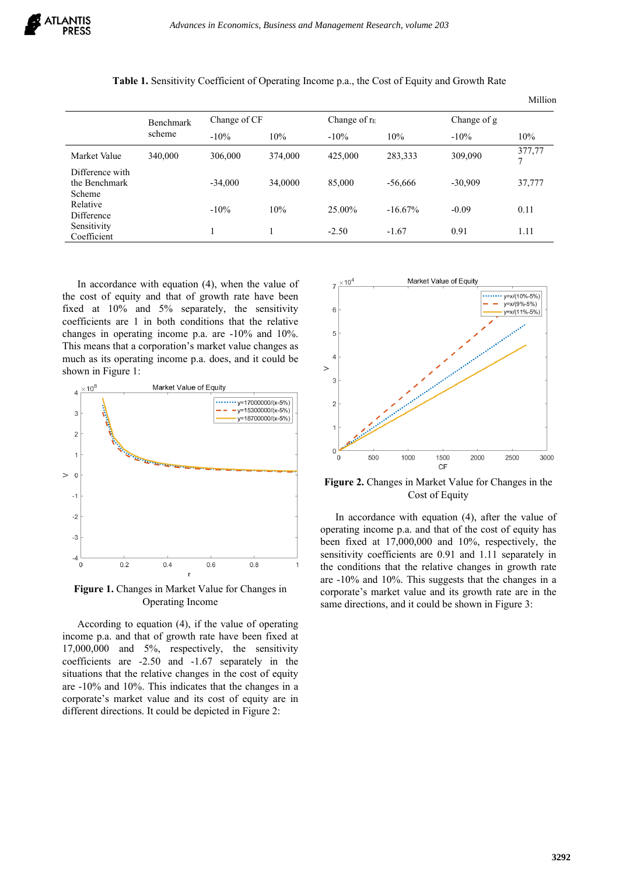|                                            | <b>Benchmark</b><br>scheme | Change of CF |         | Change of $r_E$ |            | Change of g |                  |
|--------------------------------------------|----------------------------|--------------|---------|-----------------|------------|-------------|------------------|
|                                            |                            | $-10%$       | 10%     | $-10\%$         | 10%        | $-10%$      | 10%              |
| Market Value                               | 340,000                    | 306,000      | 374,000 | 425,000         | 283,333    | 309,090     | 377,77<br>$\tau$ |
| Difference with<br>the Benchmark<br>Scheme |                            | $-34,000$    | 34,0000 | 85,000          | $-56,666$  | $-30.909$   | 37,777           |
| Relative<br>Difference                     |                            | $-10\%$      | 10%     | 25.00%          | $-16.67\%$ | $-0.09$     | 0.11             |
| Sensitivity<br>Coefficient                 |                            |              |         | $-2.50$         | $-1.67$    | 0.91        | 1.11             |

|  |  |  |  | <b>Table 1.</b> Sensitivity Coefficient of Operating Income p.a., the Cost of Equity and Growth Rate |
|--|--|--|--|------------------------------------------------------------------------------------------------------|
|--|--|--|--|------------------------------------------------------------------------------------------------------|

In accordance with equation (4), when the value of the cost of equity and that of growth rate have been fixed at 10% and 5% separately, the sensitivity coefficients are 1 in both conditions that the relative changes in operating income p.a. are -10% and 10%. This means that a corporation's market value changes as much as its operating income p.a. does, and it could be shown in Figure 1:



**Figure 1.** Changes in Market Value for Changes in Operating Income

According to equation (4), if the value of operating income p.a. and that of growth rate have been fixed at 17,000,000 and 5%, respectively, the sensitivity coefficients are -2.50 and -1.67 separately in the situations that the relative changes in the cost of equity are -10% and 10%. This indicates that the changes in a corporate's market value and its cost of equity are in different directions. It could be depicted in Figure 2:



Million

**Figure 2.** Changes in Market Value for Changes in the Cost of Equity

In accordance with equation (4), after the value of operating income p.a. and that of the cost of equity has been fixed at 17,000,000 and 10%, respectively, the sensitivity coefficients are 0.91 and 1.11 separately in the conditions that the relative changes in growth rate are -10% and 10%. This suggests that the changes in a corporate's market value and its growth rate are in the same directions, and it could be shown in Figure 3: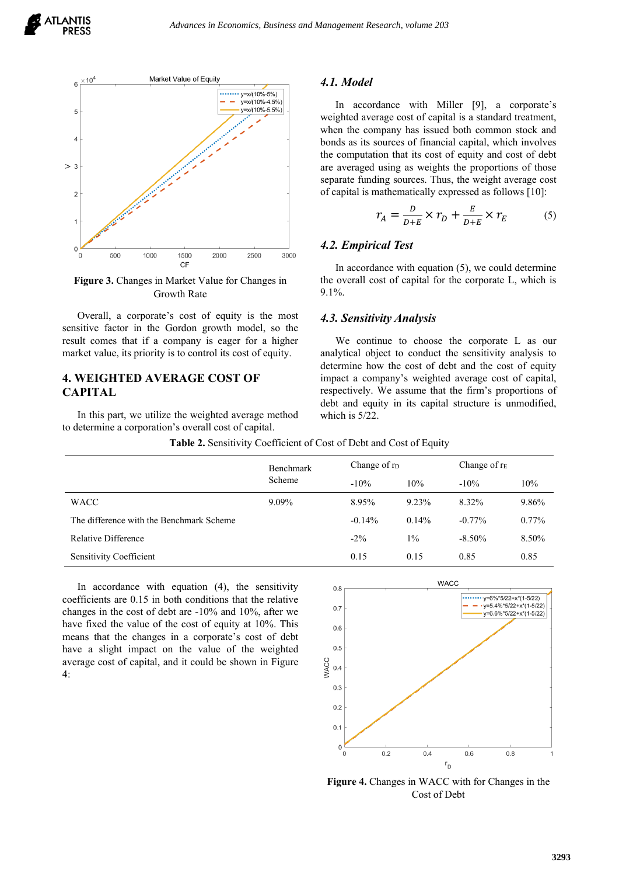



**Figure 3.** Changes in Market Value for Changes in Growth Rate

Overall, a corporate's cost of equity is the most sensitive factor in the Gordon growth model, so the result comes that if a company is eager for a higher market value, its priority is to control its cost of equity.

# **4. WEIGHTED AVERAGE COST OF CAPITAL**

In this part, we utilize the weighted average method to determine a corporation's overall cost of capital.

## *4.1. Model*

In accordance with Miller [9], a corporate's weighted average cost of capital is a standard treatment, when the company has issued both common stock and bonds as its sources of financial capital, which involves the computation that its cost of equity and cost of debt are averaged using as weights the proportions of those separate funding sources. Thus, the weight average cost of capital is mathematically expressed as follows [10]:

$$
r_A = \frac{D}{D+E} \times r_D + \frac{E}{D+E} \times r_E \tag{5}
$$

# *4.2. Empirical Test*

In accordance with equation (5), we could determine the overall cost of capital for the corporate L, which is 9.1%.

# *4.3. Sensitivity Analysis*

We continue to choose the corporate L as our analytical object to conduct the sensitivity analysis to determine how the cost of debt and the cost of equity impact a company's weighted average cost of capital, respectively. We assume that the firm's proportions of debt and equity in its capital structure is unmodified, which is 5/22.

|  | <b>Table 2.</b> Sensitivity Coefficient of Cost of Debt and Cost of Equity |
|--|----------------------------------------------------------------------------|
|  |                                                                            |

|                                          | <b>Benchmark</b><br>Scheme | Change of r <sub>D</sub> |          | Change of $r_E$ |          |
|------------------------------------------|----------------------------|--------------------------|----------|-----------------|----------|
|                                          |                            | $-10\%$                  | 10%      | $-10\%$         | 10%      |
| <b>WACC</b>                              | 9.09%                      | 8.95%                    | 9.23%    | 8.32%           | 9.86%    |
| The difference with the Benchmark Scheme |                            | $-0.14%$                 | $0.14\%$ | $-0.77\%$       | $0.77\%$ |
| Relative Difference                      |                            | $-2\%$                   | $1\%$    | $-8.50\%$       | 8.50%    |
| <b>Sensitivity Coefficient</b>           |                            | 0.15                     | 0.15     | 0.85            | 0.85     |

In accordance with equation (4), the sensitivity coefficients are 0.15 in both conditions that the relative changes in the cost of debt are -10% and 10%, after we have fixed the value of the cost of equity at 10%. This means that the changes in a corporate's cost of debt have a slight impact on the value of the weighted average cost of capital, and it could be shown in Figure 4:



**Figure 4.** Changes in WACC with for Changes in the Cost of Debt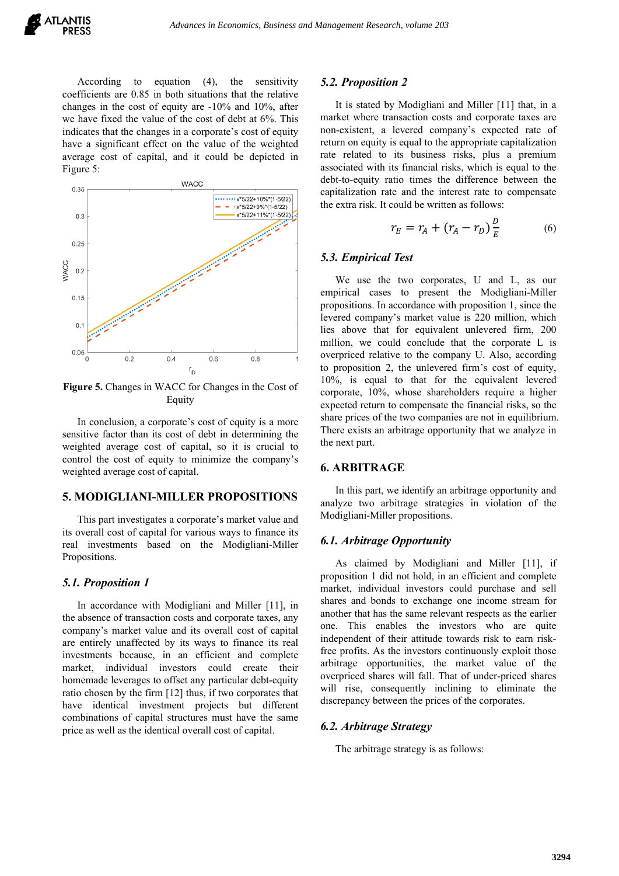According to equation (4), the sensitivity coefficients are 0.85 in both situations that the relative changes in the cost of equity are -10% and 10%, after we have fixed the value of the cost of debt at 6%. This indicates that the changes in a corporate's cost of equity have a significant effect on the value of the weighted average cost of capital, and it could be depicted in Figure 5:



**Figure 5.** Changes in WACC for Changes in the Cost of Equity

In conclusion, a corporate's cost of equity is a more sensitive factor than its cost of debt in determining the weighted average cost of capital, so it is crucial to control the cost of equity to minimize the company's weighted average cost of capital.

# **5. MODIGLIANI-MILLER PROPOSITIONS**

This part investigates a corporate's market value and its overall cost of capital for various ways to finance its real investments based on the Modigliani-Miller Propositions.

#### *5.1. Proposition 1*

In accordance with Modigliani and Miller [11], in the absence of transaction costs and corporate taxes, any company's market value and its overall cost of capital are entirely unaffected by its ways to finance its real investments because, in an efficient and complete market, individual investors could create their homemade leverages to offset any particular debt-equity ratio chosen by the firm [12] thus, if two corporates that have identical investment projects but different combinations of capital structures must have the same price as well as the identical overall cost of capital.

#### *5.2. Proposition 2*

It is stated by Modigliani and Miller [11] that, in a market where transaction costs and corporate taxes are non-existent, a levered company's expected rate of return on equity is equal to the appropriate capitalization rate related to its business risks, plus a premium associated with its financial risks, which is equal to the debt-to-equity ratio times the difference between the capitalization rate and the interest rate to compensate the extra risk. It could be written as follows:

$$
r_E = r_A + (r_A - r_D) \frac{D}{E}
$$
 (6)

## *5.3. Empirical Test*

We use the two corporates, U and L, as our empirical cases to present the Modigliani-Miller propositions. In accordance with proposition 1, since the levered company's market value is 220 million, which lies above that for equivalent unlevered firm, 200 million, we could conclude that the corporate L is overpriced relative to the company U. Also, according to proposition 2, the unlevered firm's cost of equity, 10%, is equal to that for the equivalent levered corporate, 10%, whose shareholders require a higher expected return to compensate the financial risks, so the share prices of the two companies are not in equilibrium. There exists an arbitrage opportunity that we analyze in the next part.

# **6. ARBITRAGE**

In this part, we identify an arbitrage opportunity and analyze two arbitrage strategies in violation of the Modigliani-Miller propositions.

## *6.1. Arbitrage Opportunity*

As claimed by Modigliani and Miller [11], if proposition 1 did not hold, in an efficient and complete market, individual investors could purchase and sell shares and bonds to exchange one income stream for another that has the same relevant respects as the earlier one. This enables the investors who are quite independent of their attitude towards risk to earn riskfree profits. As the investors continuously exploit those arbitrage opportunities, the market value of the overpriced shares will fall. That of under-priced shares will rise, consequently inclining to eliminate the discrepancy between the prices of the corporates.

#### *6.2. Arbitrage Strategy*

The arbitrage strategy is as follows: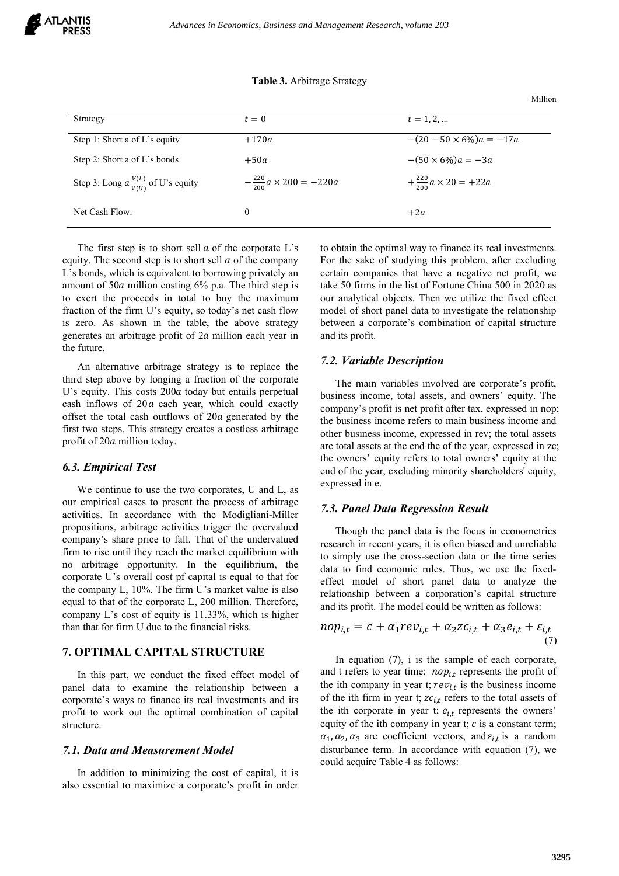#### **Table 3.** Arbitrage Strategy

Strategy  $t = 0$   $t = 1, 2, ...$ Step 1: Short a of L's equity  $+170a$   $-(20-50 \times 6\%)a = -17a$ Step 2: Short a of L's bonds  $+50a$   $-(50 \times 6\%)a = -3a$ Step 3: Long  $a \frac{V(L)}{V(U)}$  of U's equity  $-\frac{220}{200}$  $-\frac{220}{200}a \times 200 = -220a$  $+\frac{220}{200}a \times 20 = +22a$ Net Cash Flow:  $0 \t+2a$ 

The first step is to short sell  $\alpha$  of the corporate L's equity. The second step is to short sell  $\alpha$  of the company L's bonds, which is equivalent to borrowing privately an amount of  $50a$  million costing  $6\%$  p.a. The third step is to exert the proceeds in total to buy the maximum fraction of the firm U's equity, so today's net cash flow is zero. As shown in the table, the above strategy generates an arbitrage profit of  $2a$  million each year in the future.

An alternative arbitrage strategy is to replace the third step above by longing a fraction of the corporate U's equity. This costs  $200a$  today but entails perpetual cash inflows of  $20a$  each year, which could exactly offset the total cash outflows of  $20a$  generated by the first two steps. This strategy creates a costless arbitrage profit of 20a million today.

# *6.3. Empirical Test*

We continue to use the two corporates, U and L, as our empirical cases to present the process of arbitrage activities. In accordance with the Modigliani-Miller propositions, arbitrage activities trigger the overvalued company's share price to fall. That of the undervalued firm to rise until they reach the market equilibrium with no arbitrage opportunity. In the equilibrium, the corporate U's overall cost pf capital is equal to that for the company L, 10%. The firm U's market value is also equal to that of the corporate L, 200 million. Therefore, company L's cost of equity is 11.33%, which is higher than that for firm U due to the financial risks.

# **7. OPTIMAL CAPITAL STRUCTURE**

In this part, we conduct the fixed effect model of panel data to examine the relationship between a corporate's ways to finance its real investments and its profit to work out the optimal combination of capital structure.

#### *7.1. Data and Measurement Model*

In addition to minimizing the cost of capital, it is also essential to maximize a corporate's profit in order to obtain the optimal way to finance its real investments. For the sake of studying this problem, after excluding certain companies that have a negative net profit, we take 50 firms in the list of Fortune China 500 in 2020 as our analytical objects. Then we utilize the fixed effect model of short panel data to investigate the relationship between a corporate's combination of capital structure and its profit.

Million

# *7.2. Variable Description*

The main variables involved are corporate's profit, business income, total assets, and owners' equity. The company's profit is net profit after tax, expressed in nop; the business income refers to main business income and other business income, expressed in rev; the total assets are total assets at the end the of the year, expressed in zc; the owners' equity refers to total owners' equity at the end of the year, excluding minority shareholders' equity, expressed in e.

## *7.3. Panel Data Regression Result*

Though the panel data is the focus in econometrics research in recent years, it is often biased and unreliable to simply use the cross-section data or the time series data to find economic rules. Thus, we use the fixedeffect model of short panel data to analyze the relationship between a corporation's capital structure and its profit. The model could be written as follows:

$$
nop_{i,t} = c + \alpha_1 rev_{i,t} + \alpha_2 z c_{i,t} + \alpha_3 e_{i,t} + \varepsilon_{i,t}
$$
\n<sup>(7)</sup>

In equation  $(7)$ , i is the sample of each corporate, and t refers to year time;  $nop_{i,t}$  represents the profit of the ith company in year t;  $rev_{i,t}$  is the business income of the ith firm in year t;  $zc_{i,t}$  refers to the total assets of the ith corporate in year t;  $e_{i,t}$  represents the owners' equity of the ith company in year t;  $c$  is a constant term;  $\alpha_1, \alpha_2, \alpha_3$  are coefficient vectors, and  $\varepsilon_{i,t}$  is a random disturbance term. In accordance with equation (7), we could acquire Table 4 as follows: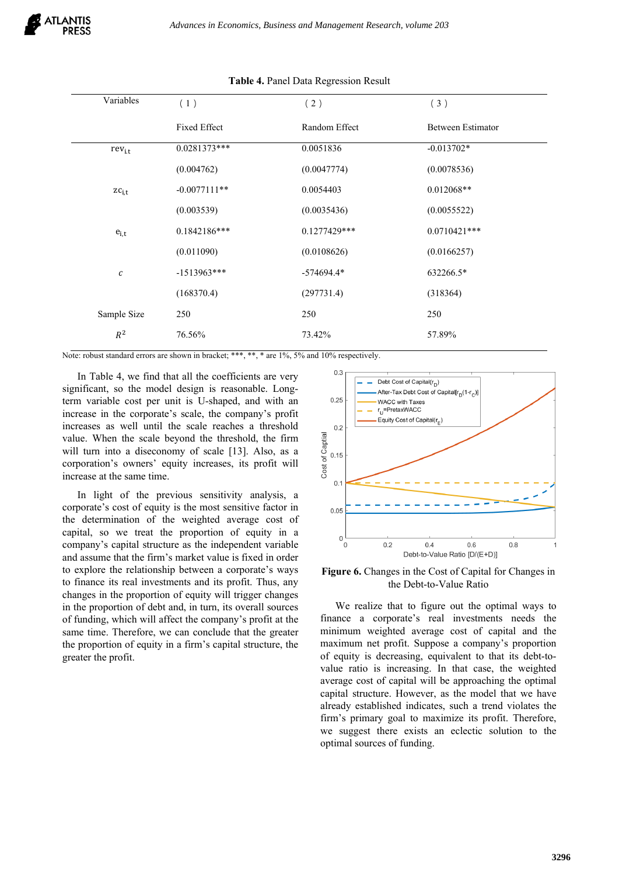| Variables        | (1)            | (2)            | (3)               |
|------------------|----------------|----------------|-------------------|
|                  | Fixed Effect   | Random Effect  | Between Estimator |
| $rev_{i,t}$      | $0.0281373***$ | 0.0051836      | $-0.013702*$      |
|                  | (0.004762)     | (0.0047774)    | (0.0078536)       |
| $zc_{i,t}$       | $-0.0077111**$ | 0.0054403      | $0.012068**$      |
|                  | (0.003539)     | (0.0035436)    | (0.0055522)       |
| $e_{i,t}$        | $0.1842186***$ | $0.1277429***$ | $0.0710421***$    |
|                  | (0.011090)     | (0.0108626)    | (0.0166257)       |
| $\boldsymbol{c}$ | $-1513963***$  | $-574694.4*$   | 632266.5*         |
|                  | (168370.4)     | (297731.4)     | (318364)          |
| Sample Size      | 250            | 250            | 250               |
| $R^2$            | 76.56%         | 73.42%         | 57.89%            |

#### **Table 4.** Panel Data Regression Result

Note: robust standard errors are shown in bracket; \*\*\*, \*\*, \* are 1%, 5% and 10% respectively.

In Table 4, we find that all the coefficients are very significant, so the model design is reasonable. Longterm variable cost per unit is U-shaped, and with an increase in the corporate's scale, the company's profit increases as well until the scale reaches a threshold value. When the scale beyond the threshold, the firm will turn into a diseconomy of scale [13]. Also, as a corporation's owners' equity increases, its profit will increase at the same time.

In light of the previous sensitivity analysis, a corporate's cost of equity is the most sensitive factor in the determination of the weighted average cost of capital, so we treat the proportion of equity in a company's capital structure as the independent variable and assume that the firm's market value is fixed in order to explore the relationship between a corporate's ways to finance its real investments and its profit. Thus, any changes in the proportion of equity will trigger changes in the proportion of debt and, in turn, its overall sources of funding, which will affect the company's profit at the same time. Therefore, we can conclude that the greater the proportion of equity in a firm's capital structure, the greater the profit.



**Figure 6.** Changes in the Cost of Capital for Changes in the Debt-to-Value Ratio

We realize that to figure out the optimal ways to finance a corporate's real investments needs the minimum weighted average cost of capital and the maximum net profit. Suppose a company's proportion of equity is decreasing, equivalent to that its debt-tovalue ratio is increasing. In that case, the weighted average cost of capital will be approaching the optimal capital structure. However, as the model that we have already established indicates, such a trend violates the firm's primary goal to maximize its profit. Therefore, we suggest there exists an eclectic solution to the optimal sources of funding.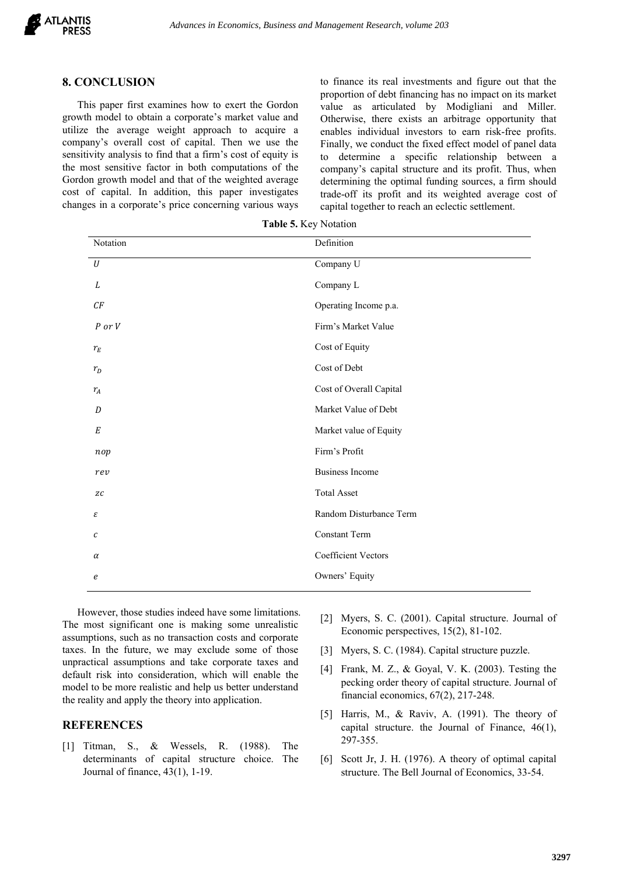#### **8. CONCLUSION**

This paper first examines how to exert the Gordon growth model to obtain a corporate's market value and utilize the average weight approach to acquire a company's overall cost of capital. Then we use the sensitivity analysis to find that a firm's cost of equity is the most sensitive factor in both computations of the Gordon growth model and that of the weighted average cost of capital. In addition, this paper investigates changes in a corporate's price concerning various ways to finance its real investments and figure out that the proportion of debt financing has no impact on its market value as articulated by Modigliani and Miller. Otherwise, there exists an arbitrage opportunity that enables individual investors to earn risk-free profits. Finally, we conduct the fixed effect model of panel data to determine a specific relationship between a company's capital structure and its profit. Thus, when determining the optimal funding sources, a firm should trade-off its profit and its weighted average cost of capital together to reach an eclectic settlement.

| Notation         | Definition                 |
|------------------|----------------------------|
| $\cal U$         | Company U                  |
| L                | Company L                  |
| CF               | Operating Income p.a.      |
| P or V           | Firm's Market Value        |
| $r_E$            | Cost of Equity             |
| $r_D$            | Cost of Debt               |
| $r_A$            | Cost of Overall Capital    |
| D                | Market Value of Debt       |
| $\cal E$         | Market value of Equity     |
| nop              | Firm's Profit              |
| rev              | <b>Business Income</b>     |
| $Z\mathcal{C}$   | <b>Total Asset</b>         |
| ε                | Random Disturbance Term    |
| $\boldsymbol{c}$ | Constant Term              |
| $\alpha$         | <b>Coefficient Vectors</b> |
| e                | Owners' Equity             |
|                  |                            |

**Table 5.** Key Notation

However, those studies indeed have some limitations. The most significant one is making some unrealistic assumptions, such as no transaction costs and corporate taxes. In the future, we may exclude some of those unpractical assumptions and take corporate taxes and default risk into consideration, which will enable the model to be more realistic and help us better understand the reality and apply the theory into application.

# **REFERENCES**

[1] Titman, S., & Wessels, R. (1988). The determinants of capital structure choice. The Journal of finance, 43(1), 1-19.

- [2] Myers, S. C. (2001). Capital structure. Journal of Economic perspectives, 15(2), 81-102.
- [3] Myers, S. C. (1984). Capital structure puzzle.
- [4] Frank, M. Z., & Goyal, V. K. (2003). Testing the pecking order theory of capital structure. Journal of financial economics, 67(2), 217-248.
- [5] Harris, M., & Raviv, A. (1991). The theory of capital structure. the Journal of Finance, 46(1), 297-355.
- [6] Scott Jr, J. H. (1976). A theory of optimal capital structure. The Bell Journal of Economics, 33-54.